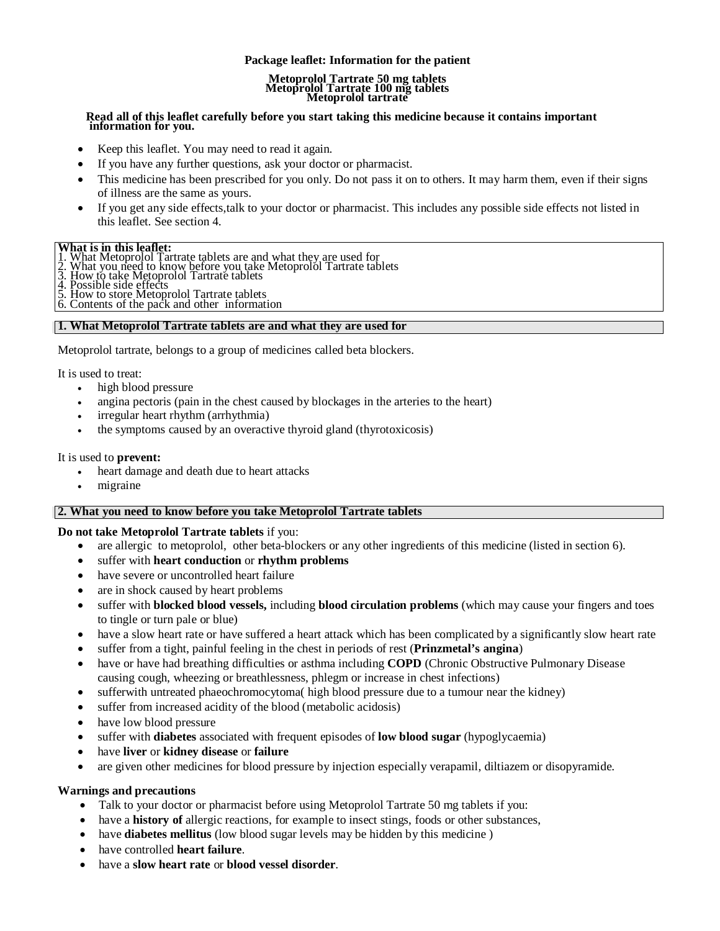## **Package leaflet: Information for the patient**

## **Metoprolol Tartrate 50 mg tablets Metoprolol Tartrate 100 mg tablets Metoprolol tartrate**

# **Read all of this leaflet carefully before you start taking this medicine because it contains important information for you.**

- Keep this leaflet. You may need to read it again.
- If you have any further questions, ask your doctor or pharmacist.
- This medicine has been prescribed for you only. Do not pass it on to others. It may harm them, even if their signs of illness are the same as yours.
- If you get any side effects,talk to your doctor or pharmacist. This includes any possible side effects not listed in this leaflet. See section 4.

#### **What is in this leaflet:**

- What Metoprolol Tartrate tablets are and what they are used for
- 2. What you need to know before you take Metoprolol Tartrate tablets<br>3. How to take Metoprolol Tartrate tablets
- 
- 4. Possible side effects
- 5. How to store Metoprolol Tartrate tablets 6. Contents of the pack and other information

## **1. What Metoprolol Tartrate tablets are and what they are used for**

Metoprolol tartrate, belongs to a group of medicines called beta blockers.

It is used to treat:

- high blood pressure
- angina pectoris (pain in the chest caused by blockages in the arteries to the heart)
- irregular heart rhythm (arrhythmia)
- the symptoms caused by an overactive thyroid gland (thyrotoxicosis)

#### It is used to **prevent:**

- heart damage and death due to heart attacks
- migraine

## **2. What you need to know before you take Metoprolol Tartrate tablets**

## **Do not take Metoprolol Tartrate tablets** if you:

- are allergic to metoprolol, other beta-blockers or any other ingredients of this medicine (listed in section 6).
- suffer with **heart conduction** or **rhythm problems**
- have severe or uncontrolled heart failure
- are in shock caused by heart problems
- suffer with **blocked blood vessels,** including **blood circulation problems** (which may cause your fingers and toes to tingle or turn pale or blue)
- have a slow heart rate or have suffered a heart attack which has been complicated by a significantly slow heart rate
- suffer from a tight, painful feeling in the chest in periods of rest (**Prinzmetal's angina**)
- have or have had breathing difficulties or asthma including **COPD** (Chronic Obstructive Pulmonary Disease causing cough, wheezing or breathlessness, phlegm or increase in chest infections)
- sufferwith untreated phaeochromocytoma( high blood pressure due to a tumour near the kidney)
- suffer from increased acidity of the blood (metabolic acidosis)
- have low blood pressure
- suffer with **diabetes** associated with frequent episodes of **low blood sugar** (hypoglycaemia)
- have **liver** or **kidney disease** or **failure**
- are given other medicines for blood pressure by injection especially verapamil, diltiazem or disopyramide.

## **Warnings and precautions**

- Talk to your doctor or pharmacist before using Metoprolol Tartrate 50 mg tablets if you:
- have a **history of** allergic reactions, for example to insect stings, foods or other substances,
- have **diabetes mellitus** (low blood sugar levels may be hidden by this medicine )
- have controlled **heart failure**.
- have a **slow heart rate** or **blood vessel disorder**.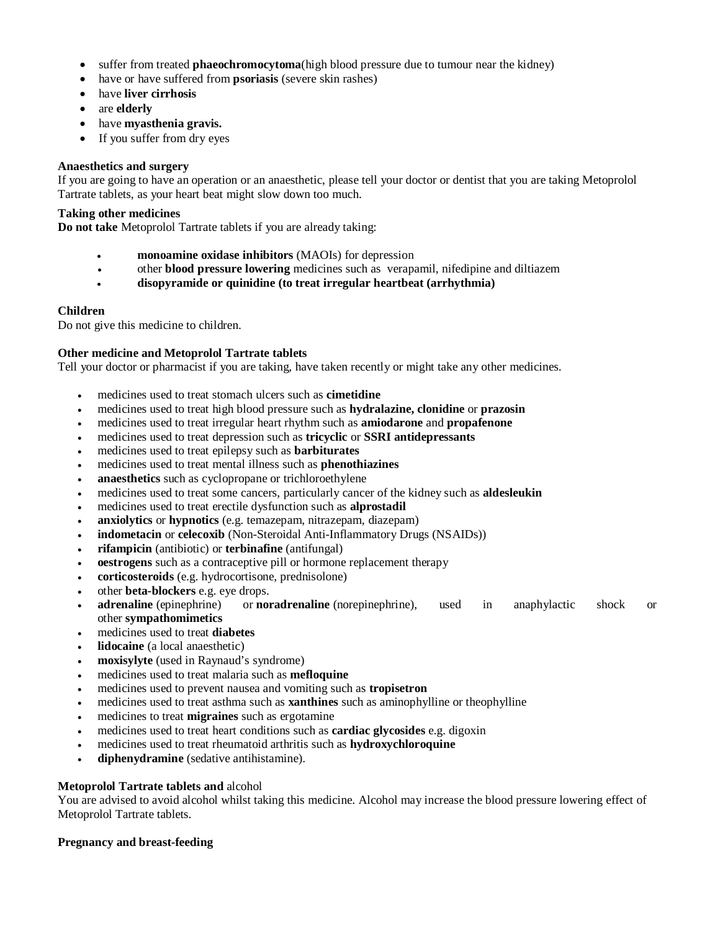- suffer from treated **phaeochromocytoma**(high blood pressure due to tumour near the kidney)
- have or have suffered from **psoriasis** (severe skin rashes)
- have **liver cirrhosis**
- are **elderly**
- have **myasthenia gravis.**
- If you suffer from dry eyes

## **Anaesthetics and surgery**

If you are going to have an operation or an anaesthetic, please tell your doctor or dentist that you are taking Metoprolol Tartrate tablets, as your heart beat might slow down too much.

## **Taking other medicines**

**Do not take** Metoprolol Tartrate tablets if you are already taking:

- **monoamine oxidase inhibitors** (MAOIs) for depression
- other **blood pressure lowering** medicines such as verapamil, nifedipine and diltiazem
- **disopyramide or quinidine (to treat irregular heartbeat (arrhythmia)**

## **Children**

Do not give this medicine to children.

## **Other medicine and Metoprolol Tartrate tablets**

Tell your doctor or pharmacist if you are taking, have taken recently or might take any other medicines.

- medicines used to treat stomach ulcers such as **cimetidine**
- medicines used to treat high blood pressure such as **hydralazine, clonidine** or **prazosin**
- medicines used to treat irregular heart rhythm such as **amiodarone** and **propafenone**
- medicines used to treat depression such as **tricyclic** or **SSRI antidepressants**
- medicines used to treat epilepsy such as **barbiturates**
- medicines used to treat mental illness such as **phenothiazines**
- **anaesthetics** such as cyclopropane or trichloroethylene
- medicines used to treat some cancers, particularly cancer of the kidney such as **aldesleukin**
- medicines used to treat erectile dysfunction such as **alprostadil**
- **anxiolytics** or **hypnotics** (e.g. temazepam, nitrazepam, diazepam)
- **indometacin** or **celecoxib** (Non-Steroidal Anti-Inflammatory Drugs (NSAIDs))
- **rifampicin** (antibiotic) or **terbinafine** (antifungal)
- **oestrogens** such as a contraceptive pill or hormone replacement therapy
- **corticosteroids** (e.g. hydrocortisone, prednisolone)
- other **beta-blockers** e.g. eye drops.
- **adrenaline** (epinephrine) or **noradrenaline** (norepinephrine), used in anaphylactic shock or other **sympathomimetics**
- medicines used to treat **diabetes**
- **lidocaine** (a local anaesthetic)
- **moxisylyte** (used in Raynaud's syndrome)
- medicines used to treat malaria such as **mefloquine**
- medicines used to prevent nausea and vomiting such as **tropisetron**
- medicines used to treat asthma such as **xanthines** such as aminophylline or theophylline
- medicines to treat **migraines** such as ergotamine
- medicines used to treat heart conditions such as **cardiac glycosides** e.g. digoxin
- medicines used to treat rheumatoid arthritis such as **hydroxychloroquine**
- **diphenydramine** (sedative antihistamine).

## **Metoprolol Tartrate tablets and** alcohol

You are advised to avoid alcohol whilst taking this medicine. Alcohol may increase the blood pressure lowering effect of Metoprolol Tartrate tablets.

## **Pregnancy and breast-feeding**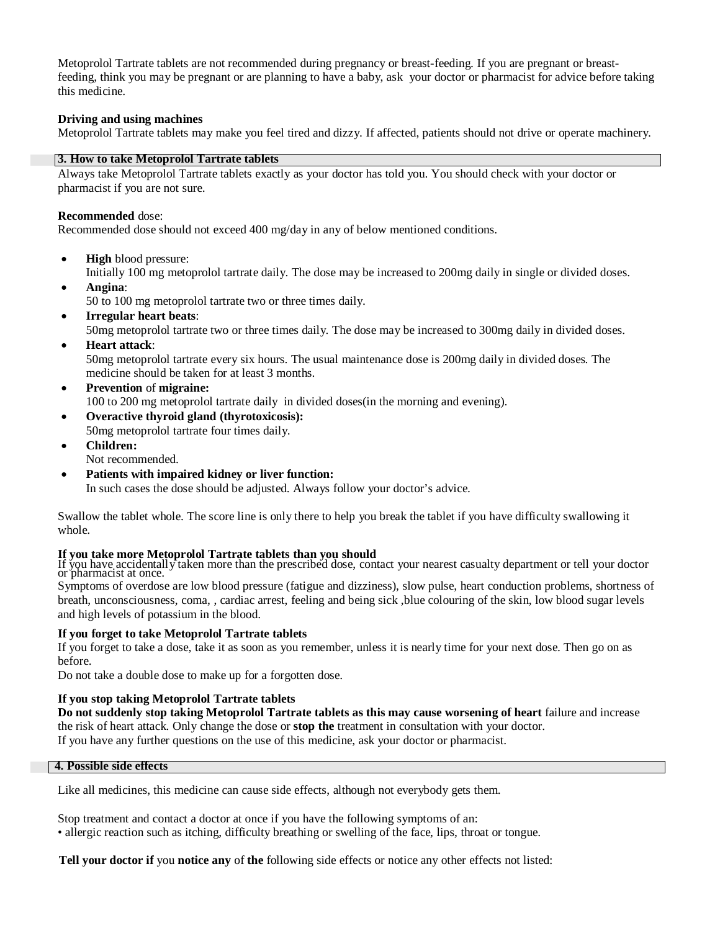Metoprolol Tartrate tablets are not recommended during pregnancy or breast-feeding. If you are pregnant or breastfeeding, think you may be pregnant or are planning to have a baby, ask your doctor or pharmacist for advice before taking this medicine.

## **Driving and using machines**

Metoprolol Tartrate tablets may make you feel tired and dizzy. If affected, patients should not drive or operate machinery.

## **3. How to take Metoprolol Tartrate tablets**

Always take Metoprolol Tartrate tablets exactly as your doctor has told you. You should check with your doctor or pharmacist if you are not sure.

## **Recommended** dose:

Recommended dose should not exceed 400 mg/day in any of below mentioned conditions.

**High** blood pressure:

Initially 100 mg metoprolol tartrate daily. The dose may be increased to 200mg daily in single or divided doses.

- **Angina**: 50 to 100 mg metoprolol tartrate two or three times daily.
- **Irregular heart beats**:

50mg metoprolol tartrate two or three times daily. The dose may be increased to 300mg daily in divided doses.

**Heart attack**:

50mg metoprolol tartrate every six hours. The usual maintenance dose is 200mg daily in divided doses. The medicine should be taken for at least 3 months.

- **Prevention** of **migraine:** 100 to 200 mg metoprolol tartrate daily in divided doses(in the morning and evening).
- **Overactive thyroid gland (thyrotoxicosis):** 50mg metoprolol tartrate four times daily.
- **Children:** Not recommended.
- **Patients with impaired kidney or liver function:** In such cases the dose should be adjusted. Always follow your doctor's advice.

Swallow the tablet whole. The score line is only there to help you break the tablet if you have difficulty swallowing it whole.

## **If you take more Metoprolol Tartrate tablets than you should**

If you have accidentally taken more than the prescribed dose, contact your nearest casualty department or tell your doctor or pharmacist at once.

Symptoms of overdose are low blood pressure (fatigue and dizziness), slow pulse, heart conduction problems, shortness of breath, unconsciousness, coma, , cardiac arrest, feeling and being sick ,blue colouring of the skin, low blood sugar levels and high levels of potassium in the blood.

## **If you forget to take Metoprolol Tartrate tablets**

If you forget to take a dose, take it as soon as you remember, unless it is nearly time for your next dose. Then go on as before.

Do not take a double dose to make up for a forgotten dose.

## **If you stop taking Metoprolol Tartrate tablets**

**Do not suddenly stop taking Metoprolol Tartrate tablets as this may cause worsening of heart** failure and increase the risk of heart attack. Only change the dose or **stop the** treatment in consultation with your doctor. If you have any further questions on the use of this medicine, ask your doctor or pharmacist.

## **4. Possible side effects**

Like all medicines, this medicine can cause side effects, although not everybody gets them.

Stop treatment and contact a doctor at once if you have the following symptoms of an: • allergic reaction such as itching, difficulty breathing or swelling of the face, lips, throat or tongue.

**Tell your doctor if** you **notice any** of **the** following side effects or notice any other effects not listed: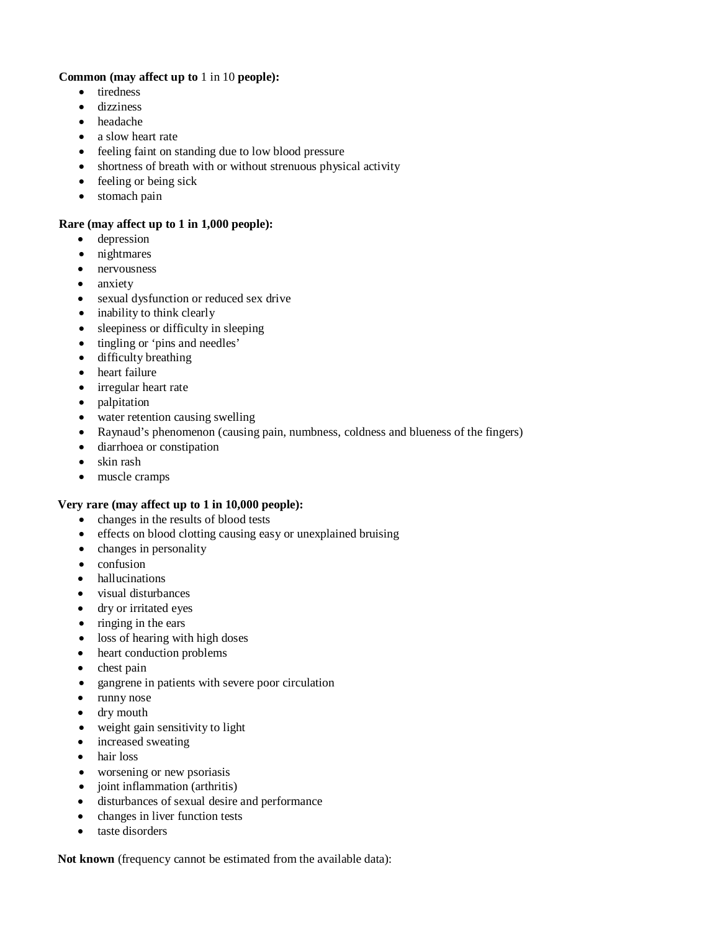## **Common (may affect up to** 1 in 10 **people):**

- tiredness
- dizziness
- headache
- a slow heart rate
- feeling faint on standing due to low blood pressure
- shortness of breath with or without strenuous physical activity
- feeling or being sick
- stomach pain

## **Rare (may affect up to 1 in 1,000 people):**

- depression
- nightmares
- nervousness
- anxiety
- sexual dysfunction or reduced sex drive
- inability to think clearly
- sleepiness or difficulty in sleeping
- tingling or 'pins and needles'
- difficulty breathing
- heart failure
- irregular heart rate
- palpitation
- water retention causing swelling
- Raynaud's phenomenon (causing pain, numbness, coldness and blueness of the fingers)
- diarrhoea or constipation
- skin rash
- muscle cramps

## **Very rare (may affect up to 1 in 10,000 people):**

- changes in the results of blood tests
- effects on blood clotting causing easy or unexplained bruising
- changes in personality
- confusion
- hallucinations
- visual disturbances
- dry or irritated eyes
- $\bullet$  ringing in the ears
- loss of hearing with high doses
- heart conduction problems
- chest pain
- gangrene in patients with severe poor circulation
- runny nose
- dry mouth
- weight gain sensitivity to light
- increased sweating
- hair loss
- worsening or new psoriasis
- joint inflammation (arthritis)
- disturbances of sexual desire and performance
- changes in liver function tests
- taste disorders

**Not known** (frequency cannot be estimated from the available data):